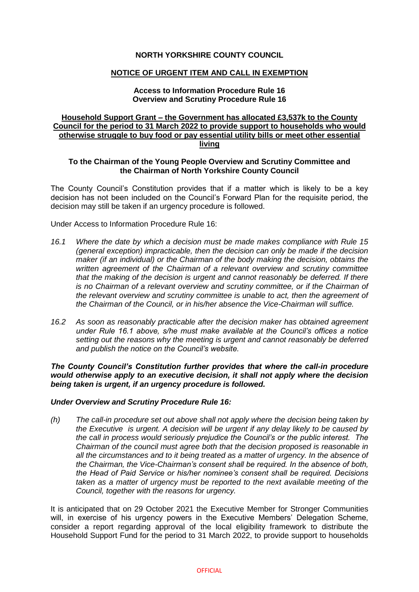# **NORTH YORKSHIRE COUNTY COUNCIL**

### **NOTICE OF URGENT ITEM AND CALL IN EXEMPTION**

### **Access to Information Procedure Rule 16 Overview and Scrutiny Procedure Rule 16**

# **Household Support Grant – the Government has allocated £3,537k to the County Council for the period to 31 March 2022 to provide support to households who would otherwise struggle to buy food or pay essential utility bills or meet other essential living**

# **To the Chairman of the Young People Overview and Scrutiny Committee and the Chairman of North Yorkshire County Council**

The County Council's Constitution provides that if a matter which is likely to be a key decision has not been included on the Council's Forward Plan for the requisite period, the decision may still be taken if an urgency procedure is followed.

Under Access to Information Procedure Rule 16:

- *16.1 Where the date by which a decision must be made makes compliance with Rule 15 (general exception) impracticable, then the decision can only be made if the decision maker (if an individual) or the Chairman of the body making the decision, obtains the written agreement of the Chairman of a relevant overview and scrutiny committee that the making of the decision is urgent and cannot reasonably be deferred. If there is no Chairman of a relevant overview and scrutiny committee, or if the Chairman of the relevant overview and scrutiny committee is unable to act, then the agreement of the Chairman of the Council, or in his/her absence the Vice-Chairman will suffice.*
- *16.2 As soon as reasonably practicable after the decision maker has obtained agreement under Rule 16.1 above, s/he must make available at the Council's offices a notice setting out the reasons why the meeting is urgent and cannot reasonably be deferred and publish the notice on the Council's website.*

*The County Council's Constitution further provides that where the call-in procedure would otherwise apply to an executive decision, it shall not apply where the decision being taken is urgent, if an urgency procedure is followed.*

### *Under Overview and Scrutiny Procedure Rule 16:*

*(h) The call-in procedure set out above shall not apply where the decision being taken by the Executive is urgent. A decision will be urgent if any delay likely to be caused by the call in process would seriously prejudice the Council's or the public interest. The Chairman of the council must agree both that the decision proposed is reasonable in all the circumstances and to it being treated as a matter of urgency. In the absence of the Chairman, the Vice-Chairman's consent shall be required. In the absence of both, the Head of Paid Service or his/her nominee's consent shall be required. Decisions taken as a matter of urgency must be reported to the next available meeting of the Council, together with the reasons for urgency.*

It is anticipated that on 29 October 2021 the Executive Member for Stronger Communities will, in exercise of his urgency powers in the Executive Members' Delegation Scheme, consider a report regarding approval of the local eligibility framework to distribute the Household Support Fund for the period to 31 March 2022, to provide support to households